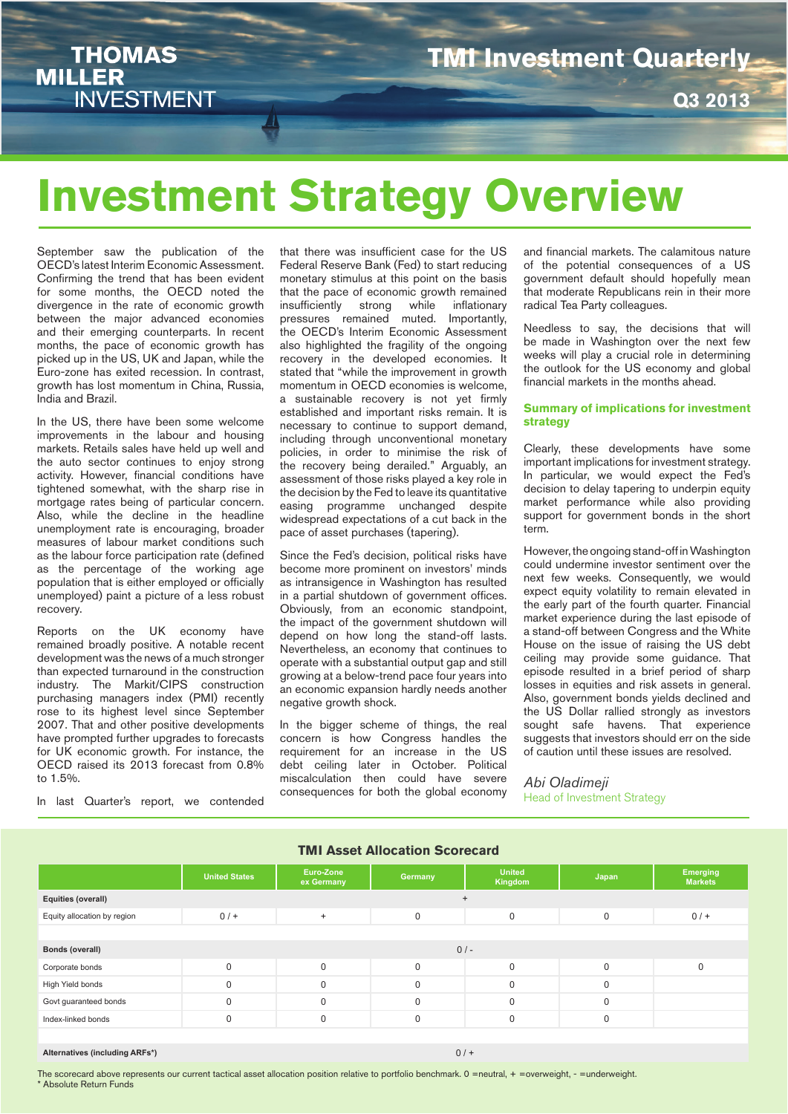**THOMAS MILLER INVESTMENT** 

### **TMI Investment Quarterly**

**Q3 2013**

# **Investment Strategy Overview**

September saw the publication of the OECD's latest Interim Economic Assessment. Confirming the trend that has been evident for some months, the OECD noted the divergence in the rate of economic growth between the major advanced economies and their emerging counterparts. In recent months, the pace of economic growth has picked up in the US, UK and Japan, while the Euro-zone has exited recession. In contrast, growth has lost momentum in China, Russia, India and Brazil.

In the US, there have been some welcome improvements in the labour and housing markets. Retails sales have held up well and the auto sector continues to enjoy strong activity. However, financial conditions have tightened somewhat, with the sharp rise in mortgage rates being of particular concern. Also, while the decline in the headline unemployment rate is encouraging, broader measures of labour market conditions such as the labour force participation rate (defined as the percentage of the working age population that is either employed or officially unemployed) paint a picture of a less robust recovery.

Reports on the UK economy have remained broadly positive. A notable recent development was the news of a much stronger than expected turnaround in the construction industry. The Markit/CIPS construction purchasing managers index (PMI) recently rose to its highest level since September 2007. That and other positive developments have prompted further upgrades to forecasts for UK economic growth. For instance, the OECD raised its 2013 forecast from 0.8% to 1.5%.

In last Quarter's report, we contended

that there was insufficient case for the US Federal Reserve Bank (Fed) to start reducing monetary stimulus at this point on the basis that the pace of economic growth remained<br>insufficiently strong while inflationary insufficiently pressures remained muted. Importantly, the OECD's Interim Economic Assessment also highlighted the fragility of the ongoing recovery in the developed economies. It stated that "while the improvement in growth momentum in OECD economies is welcome, a sustainable recovery is not yet firmly established and important risks remain. It is necessary to continue to support demand, including through unconventional monetary policies, in order to minimise the risk of the recovery being derailed." Arguably, an assessment of those risks played a key role in the decision by the Fed to leave its quantitative easing programme unchanged despite widespread expectations of a cut back in the pace of asset purchases (tapering).

Since the Fed's decision, political risks have become more prominent on investors' minds as intransigence in Washington has resulted in a partial shutdown of government offices. Obviously, from an economic standpoint, the impact of the government shutdown will depend on how long the stand-off lasts. Nevertheless, an economy that continues to operate with a substantial output gap and still growing at a below-trend pace four years into an economic expansion hardly needs another negative growth shock.

In the bigger scheme of things, the real concern is how Congress handles the requirement for an increase in the US debt ceiling later in October. Political miscalculation then could have severe consequences for both the global economy

and financial markets. The calamitous nature of the potential consequences of a US government default should hopefully mean that moderate Republicans rein in their more radical Tea Party colleagues.

Needless to say, the decisions that will be made in Washington over the next few weeks will play a crucial role in determining the outlook for the US economy and global financial markets in the months ahead.

### **Summary of implications for investment strategy**

Clearly, these developments have some important implications for investment strategy. In particular, we would expect the Fed's decision to delay tapering to underpin equity market performance while also providing support for government bonds in the short term.

However, the ongoing stand-off in Washington could undermine investor sentiment over the next few weeks. Consequently, we would expect equity volatility to remain elevated in the early part of the fourth quarter. Financial market experience during the last episode of a stand-off between Congress and the White House on the issue of raising the US debt ceiling may provide some guidance. That episode resulted in a brief period of sharp losses in equities and risk assets in general. Also, government bonds yields declined and the US Dollar rallied strongly as investors sought safe havens. That experience suggests that investors should err on the side of caution until these issues are resolved.

*Abi Oladimeji* Head of Investment Strategy

| <b>TMI Asset Allocation Scorecard</b> |                      |                         |             |                          |             |                            |  |  |  |  |  |
|---------------------------------------|----------------------|-------------------------|-------------|--------------------------|-------------|----------------------------|--|--|--|--|--|
|                                       | <b>United States</b> | Euro-Zone<br>ex Germany | Germany     | <b>United</b><br>Kingdom | Japan       | Emerging<br><b>Markets</b> |  |  |  |  |  |
| Equities (overall)                    |                      |                         |             | $\overline{+}$           |             |                            |  |  |  |  |  |
| Equity allocation by region           | $0/$ +               | $+$                     | $\mathbf 0$ | $\Omega$                 | $\mathbf 0$ | $0/$ +                     |  |  |  |  |  |
|                                       |                      |                         |             |                          |             |                            |  |  |  |  |  |
| <b>Bonds (overall)</b>                | $0/-$                |                         |             |                          |             |                            |  |  |  |  |  |
| Corporate bonds                       | $\Omega$             | $\Omega$                | $\Omega$    | $\Omega$                 | $\Omega$    | $\Omega$                   |  |  |  |  |  |
| High Yield bonds                      | 0                    | $\Omega$                | $\Omega$    | $\Omega$                 | $\Omega$    |                            |  |  |  |  |  |
| Govt guaranteed bonds                 | $\Omega$             | $\Omega$                | $\mathbf 0$ | $\Omega$                 | $\mathbf 0$ |                            |  |  |  |  |  |
| Index-linked bonds                    | 0                    | $\Omega$                | $\mathbf 0$ | $\Omega$                 | $\mathbf 0$ |                            |  |  |  |  |  |
|                                       |                      |                         |             |                          |             |                            |  |  |  |  |  |

### **Alternatives (including ARFs\*)** 0 / +

The scorecard above represents our current tactical asset allocation position relative to portfolio benchmark. 0 =neutral, + =overweight, - =underweight. \* Absolute Return Funds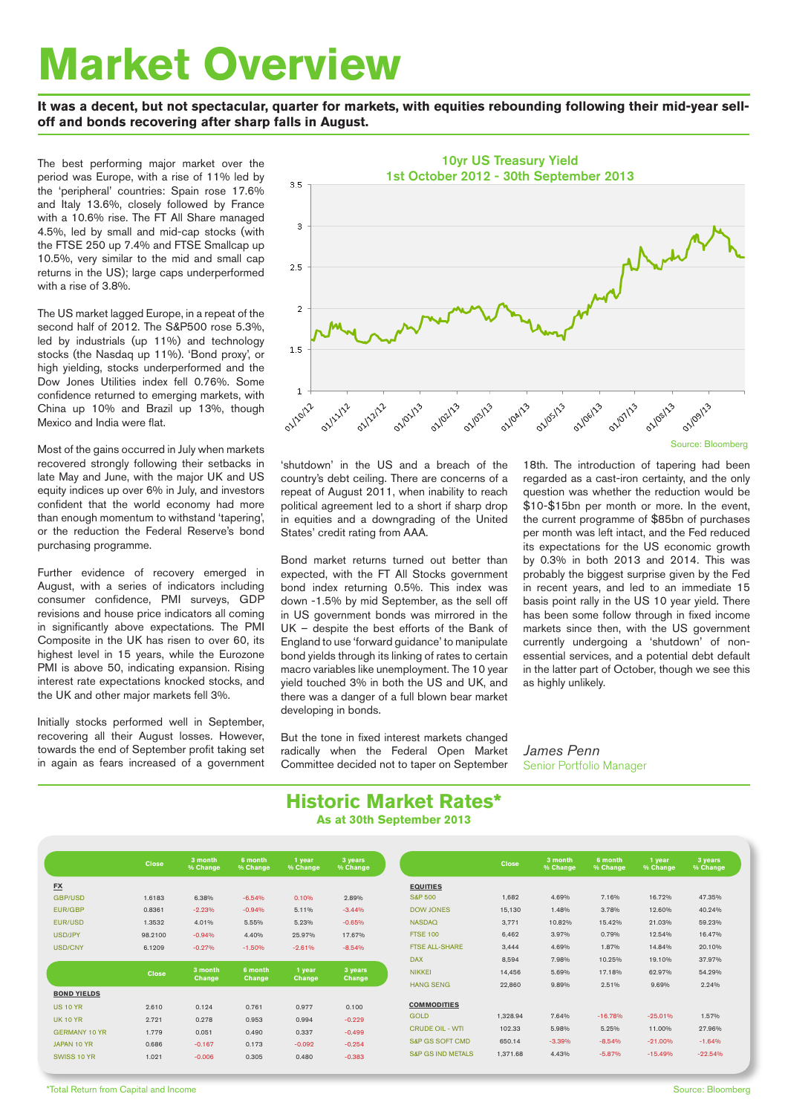# **Market Overview**

**It was a decent, but not spectacular, quarter for markets, with equities rebounding following their mid-year selloff and bonds recovering after sharp falls in August.** 

The best performing major market over the period was Europe, with a rise of 11% led by the 'peripheral' countries: Spain rose 17.6% and Italy 13.6%, closely followed by France with a 10.6% rise. The FT All Share managed 4.5%, led by small and mid-cap stocks (with the FTSE 250 up 7.4% and FTSE Smallcap up 10.5%, very similar to the mid and small cap returns in the US); large caps underperformed with a rise of 3.8%.

The US market lagged Europe, in a repeat of the second half of 2012. The S&P500 rose 5.3%, led by industrials (up 11%) and technology stocks (the Nasdaq up 11%). 'Bond proxy', or high yielding, stocks underperformed and the Dow Jones Utilities index fell 0.76%. Some confidence returned to emerging markets, with China up 10% and Brazil up 13%, though Mexico and India were flat.

Most of the gains occurred in July when markets recovered strongly following their setbacks in late May and June, with the major UK and US equity indices up over 6% in July, and investors confident that the world economy had more than enough momentum to withstand 'tapering', or the reduction the Federal Reserve's bond purchasing programme.

Further evidence of recovery emerged in August, with a series of indicators including consumer confidence, PMI surveys, GDP revisions and house price indicators all coming in significantly above expectations. The PMI Composite in the UK has risen to over 60, its highest level in 15 years, while the Eurozone PMI is above 50, indicating expansion. Rising interest rate expectations knocked stocks, and the UK and other major markets fell 3%.

Initially stocks performed well in September, recovering all their August losses. However, towards the end of September profit taking set in again as fears increased of a government



'shutdown' in the US and a breach of the country's debt ceiling. There are concerns of a repeat of August 2011, when inability to reach political agreement led to a short if sharp drop in equities and a downgrading of the United States' credit rating from AAA.

Bond market returns turned out better than expected, with the FT All Stocks government bond index returning 0.5%. This index was down -1.5% by mid September, as the sell off in US government bonds was mirrored in the UK – despite the best efforts of the Bank of England to use 'forward guidance' to manipulate bond yields through its linking of rates to certain macro variables like unemployment. The 10 year yield touched 3% in both the US and UK, and there was a danger of a full blown bear market developing in bonds.

But the tone in fixed interest markets changed radically when the Federal Open Market Committee decided not to taper on September 18th. The introduction of tapering had been regarded as a cast-iron certainty, and the only question was whether the reduction would be \$10-\$15bn per month or more. In the event, the current programme of \$85bn of purchases per month was left intact, and the Fed reduced its expectations for the US economic growth by 0.3% in both 2013 and 2014. This was probably the biggest surprise given by the Fed in recent years, and led to an immediate 15 basis point rally in the US 10 year yield. There has been some follow through in fixed income markets since then, with the US government currently undergoing a 'shutdown' of nonessential services, and a potential debt default in the latter part of October, though we see this as highly unlikely.

*James Penn* Senior Portfolio Manager

## **Historic Market Rates\***

**As at 30th September 2013**

|                      | <b>Close</b> | 3 month<br>% Change | 6 month<br>% Change | 1 year<br>% Change | 3 years<br>% Change |                              | <b>Close</b> | 3 month<br>% Change | 6 month<br>% Change | 1 year<br>% Change |
|----------------------|--------------|---------------------|---------------------|--------------------|---------------------|------------------------------|--------------|---------------------|---------------------|--------------------|
| <b>FX</b>            |              |                     |                     |                    |                     | <b>EQUITIES</b>              |              |                     |                     |                    |
| <b>GBP/USD</b>       | 1,6183       | 6,38%               | $-6.54%$            | 0.10%              | 2.89%               | <b>S&amp;P 500</b>           | 1,682        | 4.69%               | 7.16%               | 16.72%             |
| EUR/GBP              | 0.8361       | $-2.23%$            | $-0.94%$            | 5.11%              | $-3.44%$            | <b>DOW JONES</b>             | 15,130       | 1.48%               | 3.78%               | 12.60%             |
| EUR/USD              | 1.3532       | 4.01%               | 5.55%               | 5.23%              | $-0.65%$            | <b>NASDAQ</b>                | 3,771        | 10.82%              | 15.42%              | 21.03%             |
| <b>USD/JPY</b>       | 98.2100      | $-0.94%$            | 4.40%               | 25.97%             | 17.67%              | <b>FTSE 100</b>              | 6,462        | 3.97%               | 0.79%               | 12.54%             |
| <b>USD/CNY</b>       | 6.1209       | $-0.27%$            | $-1.50%$            | $-2.61%$           | $-8.54%$            | <b>FTSE ALL-SHARE</b>        | 3,444        | 4.69%               | 1.87%               | 14.84%             |
|                      |              |                     |                     |                    |                     | <b>DAX</b>                   | 8,594        | 7.98%               | 10.25%              | 19.10%             |
|                      | <b>Close</b> | 3 month             | 6 month             | 1 year             | 3 years             | <b>NIKKEI</b>                | 14.456       | 5.69%               | 17.18%              | 62.97%             |
|                      |              | Change              | Change              | Change             | Change              | <b>HANG SENG</b>             | 22,860       | 9.89%               | 2.51%               | 9.69%              |
| <b>BOND YIELDS</b>   |              |                     |                     |                    |                     |                              |              |                     |                     |                    |
| <b>US 10 YR</b>      | 2.610        | 0.124               | 0.761               | 0.977              | 0.100               | <b>COMMODITIES</b>           |              |                     |                     |                    |
| <b>UK 10 YR</b>      | 2.721        | 0.278               | 0.953               | 0.994              | $-0.229$            | <b>GOLD</b>                  | 1,328.94     | 7.64%               | $-16.78%$           | $-25.01%$          |
| <b>GERMANY 10 YR</b> | 1.779        | 0.051               | 0.490               | 0.337              | $-0.499$            | <b>CRUDE OIL - WTI</b>       | 102.33       | 5.98%               | 5.25%               | 11.00%             |
| JAPAN 10 YR          | 0.686        | $-0.167$            | 0.173               | $-0.092$           | $-0.254$            | <b>S&amp;P GS SOFT CMD</b>   | 650.14       | $-3.39%$            | $-8.54%$            | $-21.00%$          |
|                      |              |                     |                     |                    |                     | <b>S&amp;P GS IND METALS</b> | 1,371.68     | 4.43%               | $-5.87%$            | $-15.49%$          |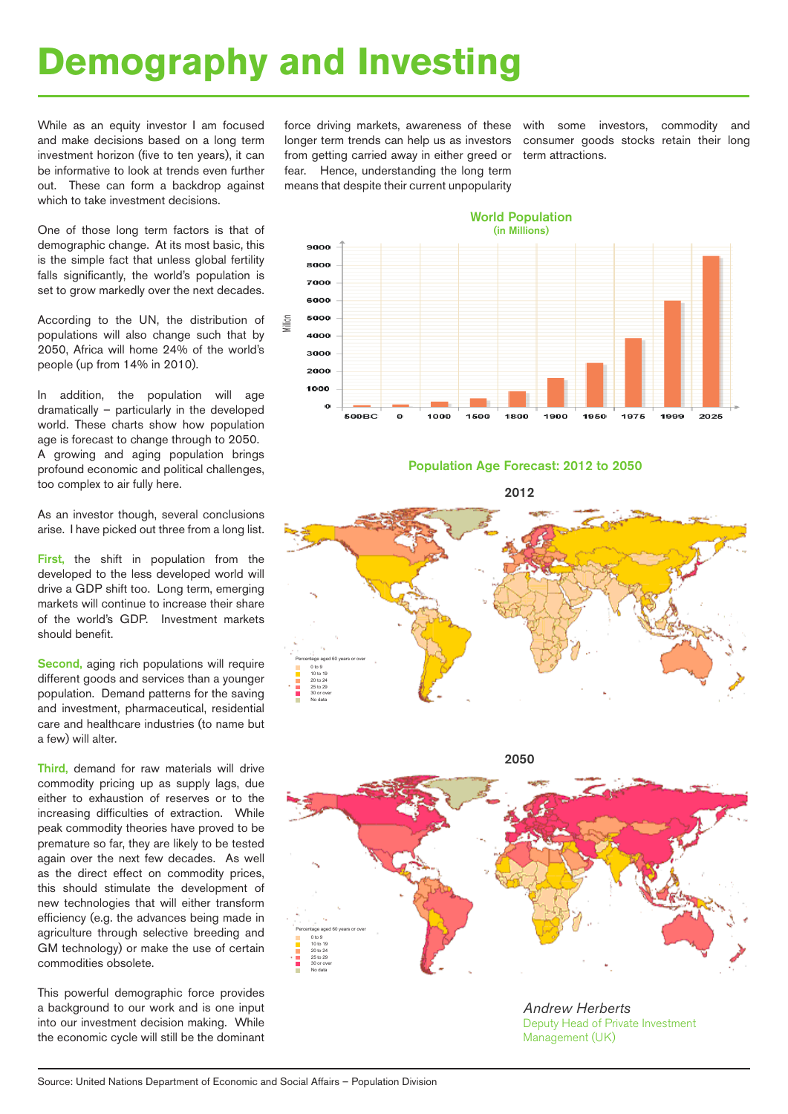## **Demography and Investing**

While as an equity investor I am focused and make decisions based on a long term investment horizon (five to ten years), it can be informative to look at trends even further out. These can form a backdrop against which to take investment decisions.

One of those long term factors is that of demographic change. At its most basic, this is the simple fact that unless global fertility falls significantly, the world's population is set to grow markedly over the next decades.

According to the UN, the distribution of populations will also change such that by 2050, Africa will home 24% of the world's people (up from 14% in 2010).

In addition, the population will age dramatically – particularly in the developed world. These charts show how population age is forecast to change through to 2050. A growing and aging population brings profound economic and political challenges, too complex to air fully here.

As an investor though, several conclusions arise. I have picked out three from a long list.

First, the shift in population from the developed to the less developed world will drive a GDP shift too. Long term, emerging markets will continue to increase their share of the world's GDP. Investment markets should benefit.

Second, aging rich populations will require different goods and services than a younger population. Demand patterns for the saving and investment, pharmaceutical, residential care and healthcare industries (to name but a few) will alter.

Third, demand for raw materials will drive commodity pricing up as supply lags, due either to exhaustion of reserves or to the increasing difficulties of extraction. While peak commodity theories have proved to be premature so far, they are likely to be tested again over the next few decades. As well as the direct effect on commodity prices, this should stimulate the development of new technologies that will either transform efficiency (e.g. the advances being made in agriculture through selective breeding and GM technology) or make the use of certain commodities obsolete.

This powerful demographic force provides a background to our work and is one input into our investment decision making. While the economic cycle will still be the dominant force driving markets, awareness of these longer term trends can help us as investors from getting carried away in either greed or fear. Hence, understanding the long term means that despite their current unpopularity

with some investors, commodity and consumer goods stocks retain their long term attractions.



### Population Age Forecast: 2012 to 2050

2012